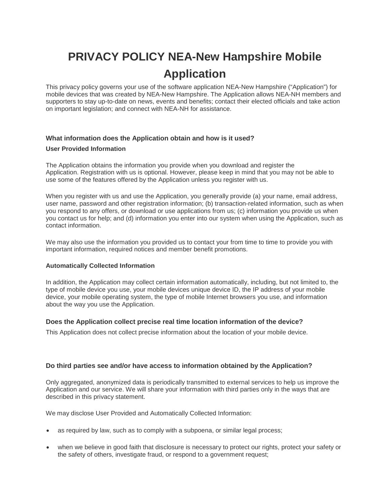# **PRIVACY POLICY NEA-New Hampshire Mobile Application**

This privacy policy governs your use of the software application NEA-New Hampshire ("Application") for mobile devices that was created by NEA-New Hampshire. The Application allows NEA-NH members and supporters to stay up-to-date on news, events and benefits; contact their elected officials and take action on important legislation; and connect with NEA-NH for assistance.

# **What information does the Application obtain and how is it used?**

## **User Provided Information**

The Application obtains the information you provide when you download and register the Application. Registration with us is optional. However, please keep in mind that you may not be able to use some of the features offered by the Application unless you register with us.

When you register with us and use the Application, you generally provide (a) your name, email address, user name, password and other registration information; (b) transaction-related information, such as when you respond to any offers, or download or use applications from us; (c) information you provide us when you contact us for help; and (d) information you enter into our system when using the Application, such as contact information.

We may also use the information you provided us to contact your from time to time to provide you with important information, required notices and member benefit promotions.

# **Automatically Collected Information**

In addition, the Application may collect certain information automatically, including, but not limited to, the type of mobile device you use, your mobile devices unique device ID, the IP address of your mobile device, your mobile operating system, the type of mobile Internet browsers you use, and information about the way you use the Application.

# **Does the Application collect precise real time location information of the device?**

This Application does not collect precise information about the location of your mobile device.

# **Do third parties see and/or have access to information obtained by the Application?**

Only aggregated, anonymized data is periodically transmitted to external services to help us improve the Application and our service. We will share your information with third parties only in the ways that are described in this privacy statement.

We may disclose User Provided and Automatically Collected Information:

- as required by law, such as to comply with a subpoena, or similar legal process;
- when we believe in good faith that disclosure is necessary to protect our rights, protect your safety or the safety of others, investigate fraud, or respond to a government request;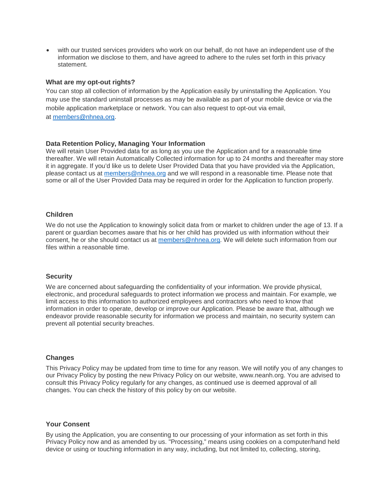• with our trusted services providers who work on our behalf, do not have an independent use of the information we disclose to them, and have agreed to adhere to the rules set forth in this privacy statement.

#### **What are my opt-out rights?**

You can stop all collection of information by the Application easily by uninstalling the Application. You may use the standard uninstall processes as may be available as part of your mobile device or via the mobile application marketplace or network. You can also request to opt-out via email, at [members@nhnea.org.](mailto:members@nhnea.org)

## **Data Retention Policy, Managing Your Information**

We will retain User Provided data for as long as you use the Application and for a reasonable time thereafter. We will retain Automatically Collected information for up to 24 months and thereafter may store it in aggregate. If you'd like us to delete User Provided Data that you have provided via the Application, please contact us at [members@nhnea.org](mailto:members@nhnea.org) and we will respond in a reasonable time. Please note that some or all of the User Provided Data may be required in order for the Application to function properly.

#### **Children**

We do not use the Application to knowingly solicit data from or market to children under the age of 13. If a parent or guardian becomes aware that his or her child has provided us with information without their consent, he or she should contact us at [members@nhnea.org.](mailto:members@nhnea.org) We will delete such information from our files within a reasonable time.

### **Security**

We are concerned about safeguarding the confidentiality of your information. We provide physical, electronic, and procedural safeguards to protect information we process and maintain. For example, we limit access to this information to authorized employees and contractors who need to know that information in order to operate, develop or improve our Application. Please be aware that, although we endeavor provide reasonable security for information we process and maintain, no security system can prevent all potential security breaches.

#### **Changes**

This Privacy Policy may be updated from time to time for any reason. We will notify you of any changes to our Privacy Policy by posting the new Privacy Policy on our website, www.neanh.org. You are advised to consult this Privacy Policy regularly for any changes, as continued use is deemed approval of all changes. You can check the history of this policy by on our website.

#### **Your Consent**

By using the Application, you are consenting to our processing of your information as set forth in this Privacy Policy now and as amended by us. "Processing," means using cookies on a computer/hand held device or using or touching information in any way, including, but not limited to, collecting, storing,